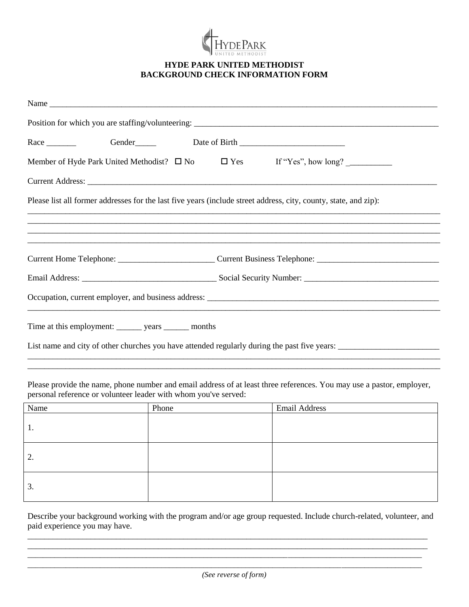

## **HYDE PARK UNITED METHODIST BACKGROUND CHECK INFORMATION FORM**

| Name                                                                                                                                                                                                                           |                                                                                                                  |
|--------------------------------------------------------------------------------------------------------------------------------------------------------------------------------------------------------------------------------|------------------------------------------------------------------------------------------------------------------|
|                                                                                                                                                                                                                                |                                                                                                                  |
| Race Gender Gender Date of Birth Communication Contains and Security Contains and Security Contains and Security Contains and Security Contains and Security Contains and Security Contains and Security Contains and Security |                                                                                                                  |
|                                                                                                                                                                                                                                | Member of Hyde Park United Methodist? $\Box$ No $\Box$ Yes If "Yes", how long?                                   |
|                                                                                                                                                                                                                                |                                                                                                                  |
|                                                                                                                                                                                                                                | Please list all former addresses for the last five years (include street address, city, county, state, and zip): |
|                                                                                                                                                                                                                                | <u> 1989 - Jan Barnett, fransk politik (d. 1989)</u>                                                             |
|                                                                                                                                                                                                                                | 一个人的人,我们就是一个人的人,我们就是一个人的人,我们就是一个人的人,我们就是一个人的人,我们就是一个人的人,我们就是一个人的人,我们就是一个人的人,我们就是一                                |
|                                                                                                                                                                                                                                |                                                                                                                  |
|                                                                                                                                                                                                                                |                                                                                                                  |
|                                                                                                                                                                                                                                |                                                                                                                  |
| Time at this employment: ________ years ________ months                                                                                                                                                                        |                                                                                                                  |
|                                                                                                                                                                                                                                | List name and city of other churches you have attended regularly during the past five years:                     |
|                                                                                                                                                                                                                                |                                                                                                                  |

Please provide the name, phone number and email address of at least three references. You may use a pastor, employer, personal reference or volunteer leader with whom you've served:

| Name | Phone | Email Address |
|------|-------|---------------|
| 1.   |       |               |
| 2.   |       |               |
| 3.   |       |               |

Describe your background working with the program and/or age group requested. Include church-related, volunteer, and paid experience you may have.

\_\_\_\_\_\_\_\_\_\_\_\_\_\_\_\_\_\_\_\_\_\_\_\_\_\_\_\_\_\_\_\_\_\_\_\_\_\_\_\_\_\_\_\_\_\_\_\_\_\_\_\_\_\_\_\_\_\_\_\_\_\_\_\_\_\_\_\_\_\_\_\_\_\_\_\_\_\_\_\_\_\_\_\_\_\_\_\_\_\_\_\_\_\_\_

\_\_\_\_\_\_\_\_\_\_\_\_\_\_\_\_\_\_\_\_\_\_\_\_\_\_\_\_\_\_\_\_\_\_\_\_\_\_\_\_\_\_\_\_\_\_\_\_\_\_\_\_\_\_\_\_\_\_\_\_\_\_\_\_\_\_\_\_\_\_\_\_\_\_\_\_\_\_\_\_\_\_\_\_\_\_\_\_\_\_\_\_\_\_\_\_\_\_\_\_\_\_\_ *\_\_\_\_\_\_\_\_\_\_\_\_\_\_\_\_\_\_\_\_\_\_\_\_\_\_\_\_\_\_\_\_\_\_\_\_\_\_\_\_\_\_\_\_\_\_\_\_\_\_\_\_\_\_\_\_\_\_\_\_\_\_\_\_\_\_\_\_\_\_\_\_\_\_\_\_\_\_\_\_\_\_*\_\_\_\_\_\_\_\_\_\_\_*\_\_\_\_\_\_\_\_\_\_*

*(See reverse of form)*